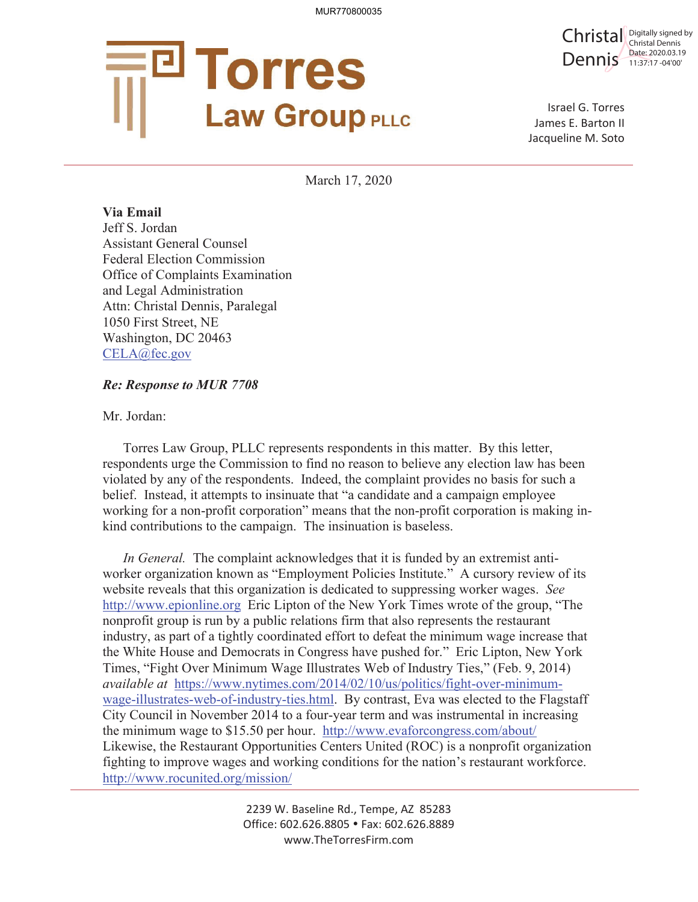

Christal Digitally signed by Dennis Date: 2020.03.1 Christal Dennis Date: 2020.03.19

Israel G. Torres James E. Barton II Jacqueline M. Soto

March 17, 2020

**Via Email**  Jeff S. Jordan Assistant General Counsel Federal Election Commission Office of Complaints Examination and Legal Administration Attn: Christal Dennis, Paralegal 1050 First Street, NE Washington, DC 20463 CELA@fec.gov

## *Re: Response to MUR 7708*

Mr. Jordan:

Torres Law Group, PLLC represents respondents in this matter. By this letter, respondents urge the Commission to find no reason to believe any election law has been violated by any of the respondents. Indeed, the complaint provides no basis for such a belief. Instead, it attempts to insinuate that "a candidate and a campaign employee working for a non-profit corporation" means that the non-profit corporation is making inkind contributions to the campaign. The insinuation is baseless.

*In General.* The complaint acknowledges that it is funded by an extremist antiworker organization known as "Employment Policies Institute." A cursory review of its website reveals that this organization is dedicated to suppressing worker wages. *See*  http://www.epionline.org Eric Lipton of the New York Times wrote of the group, "The nonprofit group is run by a public relations firm that also represents the restaurant industry, as part of a tightly coordinated effort to defeat the minimum wage increase that the White House and Democrats in Congress have pushed for." Eric Lipton, New York Times, "Fight Over Minimum Wage Illustrates Web of Industry Ties," (Feb. 9, 2014) *available at* https://www.nytimes.com/2014/02/10/us/politics/fight-over-minimumwage-illustrates-web-of-industry-ties.html. By contrast, Eva was elected to the Flagstaff City Council in November 2014 to a four-year term and was instrumental in increasing the minimum wage to \$15.50 per hour. http://www.evaforcongress.com/about/ Likewise, the Restaurant Opportunities Centers United (ROC) is a nonprofit organization fighting to improve wages and working conditions for the nation's restaurant workforce. http://www.rocunited.org/mission/

> 2239 W. Baseline Rd., Tempe, AZ 85283 Office: 602.626.8805 • Fax: 602.626.8889 www.TheTorresFirm.com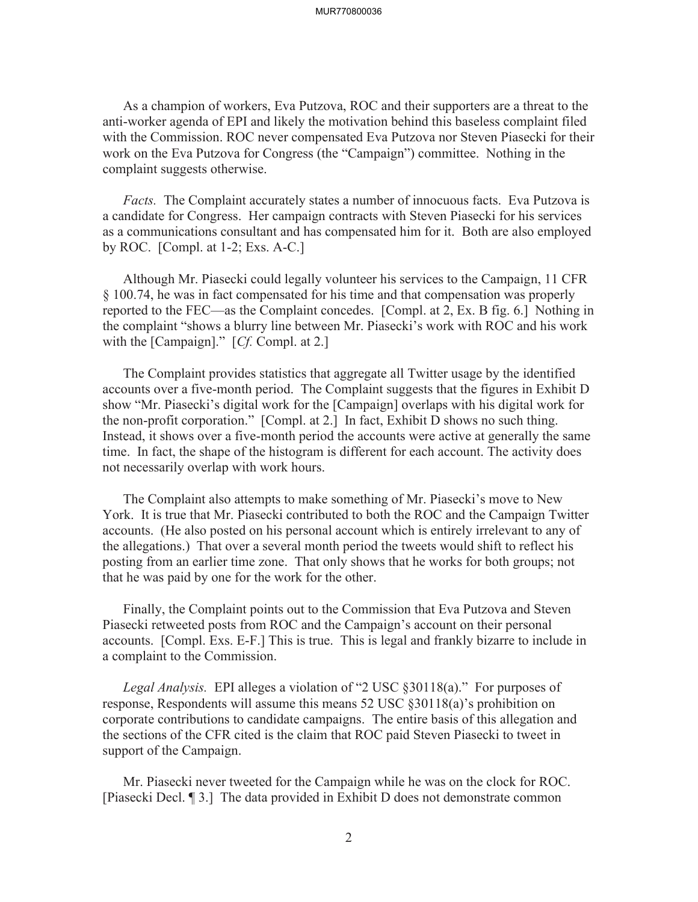## MUR770800036

As a champion of workers, Eva Putzova, ROC and their supporters are a threat to the anti-worker agenda of EPI and likely the motivation behind this baseless complaint filed with the Commission. ROC never compensated Eva Putzova nor Steven Piasecki for their work on the Eva Putzova for Congress (the "Campaign") committee. Nothing in the complaint suggests otherwise.

*Facts.* The Complaint accurately states a number of innocuous facts. Eva Putzova is a candidate for Congress. Her campaign contracts with Steven Piasecki for his services as a communications consultant and has compensated him for it. Both are also employed by ROC. [Compl. at 1-2; Exs. A-C.]

Although Mr. Piasecki could legally volunteer his services to the Campaign, 11 CFR § 100.74, he was in fact compensated for his time and that compensation was properly reported to the FEC—as the Complaint concedes. [Compl. at 2, Ex. B fig. 6.] Nothing in the complaint "shows a blurry line between Mr. Piasecki's work with ROC and his work with the [Campaign]." [*Cf.* Compl. at 2.]

The Complaint provides statistics that aggregate all Twitter usage by the identified accounts over a five-month period. The Complaint suggests that the figures in Exhibit D show "Mr. Piasecki's digital work for the [Campaign] overlaps with his digital work for the non-profit corporation." [Compl. at 2.] In fact, Exhibit D shows no such thing. Instead, it shows over a five-month period the accounts were active at generally the same time. In fact, the shape of the histogram is different for each account. The activity does not necessarily overlap with work hours.

The Complaint also attempts to make something of Mr. Piasecki's move to New York. It is true that Mr. Piasecki contributed to both the ROC and the Campaign Twitter accounts. (He also posted on his personal account which is entirely irrelevant to any of the allegations.) That over a several month period the tweets would shift to reflect his posting from an earlier time zone. That only shows that he works for both groups; not that he was paid by one for the work for the other.

Finally, the Complaint points out to the Commission that Eva Putzova and Steven Piasecki retweeted posts from ROC and the Campaign's account on their personal accounts. [Compl. Exs. E-F.] This is true. This is legal and frankly bizarre to include in a complaint to the Commission.

*Legal Analysis.* EPI alleges a violation of "2 USC §30118(a)." For purposes of response, Respondents will assume this means 52 USC §30118(a)'s prohibition on corporate contributions to candidate campaigns. The entire basis of this allegation and the sections of the CFR cited is the claim that ROC paid Steven Piasecki to tweet in support of the Campaign.

Mr. Piasecki never tweeted for the Campaign while he was on the clock for ROC. [Piasecki Decl. ¶ 3.] The data provided in Exhibit D does not demonstrate common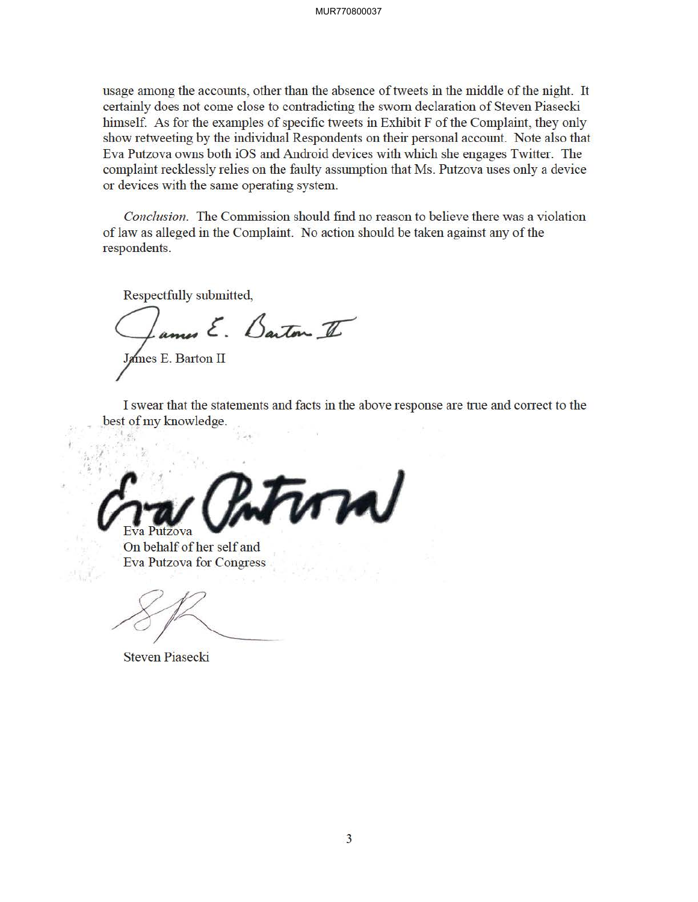usage among the accounts, other than the absence of tweets in the middle of the night. It certainly does not come close to contradicting the sworn declaration of Steven Piasecki himself. As for the examples of specific tweets in Exhibit F of the Complaint, they only show retweeting by the individual Respondents on their personal account. Note also that Eva Putzova owns both iOS and Android devices with which she engages Twitter. The complaint recklessly relies on the faulty assumption that Ms. Putzova uses only a device or devices with the same operating system.

*Conclusion .* The Commission should find no reason to believe there was a violation of law as alleged in the Complaint. No action should be taken against any of the respondents.

Respectfully submitted,

ames E. Barton II

James E. Barton II

I swear that the statements and facts in the above response are true and correct to the best of my knowledge.

 $\mathcal{L}$  $\bigvee$  Eva Putzova

On behalf of her self and Eva Putzova for Congress

Steven Piasecki

 $\frac{1}{2}$   $\frac{1}{2}$   $\frac{1}{2}$